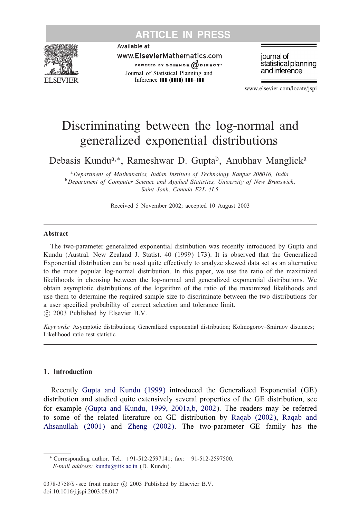

Available at

www.ElsevierMathematics.com POWERED BY SCIENCE @DIRECT\* Journal of Statistical Planning and Inference  $\mathbf{III}$  ( $\mathbf{III}$ )  $\mathbf{III}$ - $\mathbf{III}$ 

journal of statistical planning and inference

www.elsevier.com/locate/jspi

# Discriminating between the log-normal and generalized exponential distributions

Debasis Kundu<sup>a,∗</sup>, Rameshwar D. Gupta<sup>b</sup>, Anubhav Manglick<sup>a</sup>

<sup>a</sup>*Department of Mathematics, Indian Institute of Technology Kanpur 208016, India* <sup>b</sup>*Department of Computer Science and Applied Statistics, University of New Brunswick, Saint Jonh, Canada E2L 4L5*

Received 5 November 2002; accepted 10 August 2003

#### Abstract

The two-parameter generalized exponential distribution was recently introduced by Gupta and Kundu (Austral. New Zealand J. Statist. 40 (1999) 173). It is observed that the Generalized Exponential distribution can be used quite effectively to analyze skewed data set as an alternative to the more popular log-normal distribution. In this paper, we use the ratio of the maximized likelihoods in choosing between the log-normal and generalized exponential distributions. We obtain asymptotic distributions of the logarithm of the ratio of the maximized likelihoods and use them to determine the required sample size to discriminate between the two distributions for a user specified probability of correct selection and tolerance limit. -c 2003 Published by Elsevier B.V.

*Keywords:* Asymptotic distributions; Generalized exponential distribution; Kolmogorov–Smirnov distances; Likelihood ratio test statistic

### 1. Introduction

Recently [Gupta and Kundu \(1999\)](#page-14-0) introduced the Generalized Exponential (GE) distribution and studied quite extensively several properties of the GE distribution, see for example [\(Gupta and Kundu, 1999, 2001a,b, 2002\)](#page-14-0). The readers may be referred to some of the related literature on GE distribution by [Raqab \(2002\),](#page-14-0) [Raqab and](#page-14-0) [Ahsanullah \(2001\)](#page-14-0) and [Zheng \(2002\).](#page-14-0) The two-parameter GE family has the

<sup>∗</sup> Corresponding author. Tel.: +91-512-2597141; fax: +91-512-2597500. *E-mail address:* [kundu@iitk.ac.in](mailto:kundu@iitk.ac.in) (D. Kundu).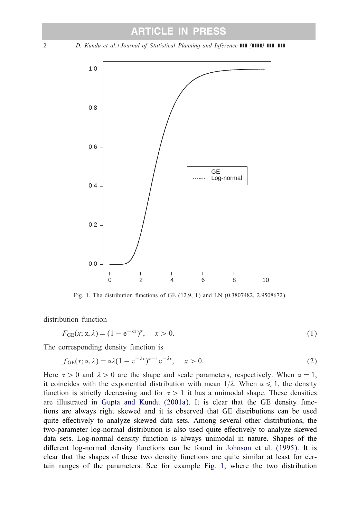<span id="page-1-0"></span>2 *D. Kundu et al. | Journal of Statistical Planning and Inference* **(11 (1111) 111-111** 



Fig. 1. The distribution functions of GE (12.9, 1) and LN (0.3807482, 2.9508672).

distribution function

$$
F_{GE}(x; \alpha, \lambda) = (1 - e^{-\lambda x})^{\alpha}, \quad x > 0.
$$
 (1)

The corresponding density function is

$$
f_{GE}(x; \alpha, \lambda) = \alpha \lambda (1 - e^{-\lambda x})^{\alpha - 1} e^{-\lambda x}, \quad x > 0.
$$
 (2)

Here  $\alpha > 0$  and  $\lambda > 0$  are the shape and scale parameters, respectively. When  $\alpha = 1$ , it coincides with the exponential distribution with mean  $1/\lambda$ . When  $\alpha \leq 1$ , the density function is strictly decreasing and for  $\alpha > 1$  it has a unimodal shape. These densities are illustrated in [Gupta and Kundu \(2001a\).](#page-14-0) It is clear that the GE density functions are always right skewed and it is observed that GE distributions can be used quite effectively to analyze skewed data sets. Among several other distributions, the two-parameter log-normal distribution is also used quite effectively to analyze skewed data sets. Log-normal density function is always unimodal in nature. Shapes of the different log-normal density functions can be found in [Johnson et al. \(1995\).](#page-14-0) It is clear that the shapes of these two density functions are quite similar at least for certain ranges of the parameters. See for example Fig. 1, where the two distribution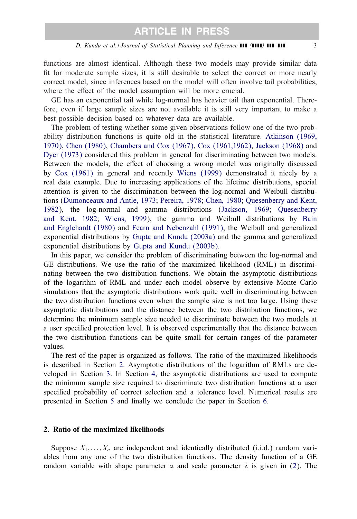functions are almost identical. Although these two models may provide similar data fit for moderate sample sizes, it is still desirable to select the correct or more nearly correct model, since inferences based on the model will often involve tail probabilities, where the effect of the model assumption will be more crucial.

GE has an exponential tail while log-normal has heavier tail than exponential. Therefore, even if large sample sizes are not available it is still very important to make a best possible decision based on whatever data are available.

The problem of testing whether some given observations follow one of the two probability distribution functions is quite old in the statistical literature. [Atkinson \(1969,](#page-13-0) [1970\),](#page-13-0) [Chen \(1980\),](#page-13-0) [Chambers and Cox \(1967\),](#page-13-0) [Cox \(1961,1962\),](#page-13-0) [Jackson \(1968\)](#page-14-0) and [Dyer \(1973\)](#page-13-0) considered this problem in general for discriminating between two models. Between the models, the effect of choosing a wrong model was originally discussed by [Cox \(1961\)](#page-13-0) in general and recently [Wiens \(1999\)](#page-14-0) demonstrated it nicely by a real data example. Due to increasing applications of the lifetime distributions, special attention is given to the discrimination between the log-normal and Weibull distributions [\(Dumonceaux and Antle, 1973;](#page-13-0) [Pereira, 1978;](#page-14-0) [Chen, 1980;](#page-13-0) [Quesenberry and Kent,](#page-14-0) [1982\)](#page-14-0), the log-normal and gamma distributions [\(Jackson, 1969;](#page-14-0) [Quesenberry](#page-14-0) [and Kent, 1982;](#page-14-0) [Wiens, 1999\)](#page-14-0), the gamma and Weibull distributions by [Bain](#page-13-0) [and Englehardt \(1980\)](#page-13-0) and [Fearn and Nebenzahl \(1991\),](#page-14-0) the Weibull and generalized exponential distributions by [Gupta and Kundu \(2003a\)](#page-14-0) and the gamma and generalized exponential distributions by [Gupta and Kundu \(2003b\).](#page-14-0)

In this paper, we consider the problem of discriminating between the log-normal and GE distributions. We use the ratio of the maximized likelihood (RML) in discriminating between the two distribution functions. We obtain the asymptotic distributions of the logarithm of RML and under each model observe by extensive Monte Carlo simulations that the asymptotic distributions work quite well in discriminating between the two distribution functions even when the sample size is not too large. Using these asymptotic distributions and the distance between the two distribution functions, we determine the minimum sample size needed to discriminate between the two models at a user specified protection level. It is observed experimentally that the distance between the two distribution functions can be quite small for certain ranges of the parameter values.

The rest of the paper is organized as follows. The ratio of the maximized likelihoods is described in Section 2. Asymptotic distributions of the logarithm of RMLs are developed in Section [3.](#page-4-0) In Section [4,](#page-8-0) the asymptotic distributions are used to compute the minimum sample size required to discriminate two distribution functions at a user specified probability of correct selection and a tolerance level. Numerical results are presented in Section [5](#page-11-0) and finally we conclude the paper in Section [6.](#page-13-0)

#### 2. Ratio of the maximized likelihoods

Suppose  $X_1, \ldots, X_n$  are independent and identically distributed (i.i.d.) random variables from any one of the two distribution functions. The density function of a GE random variable with shape parameter  $\alpha$  and scale parameter  $\lambda$  is given in [\(2\)](#page-1-0). The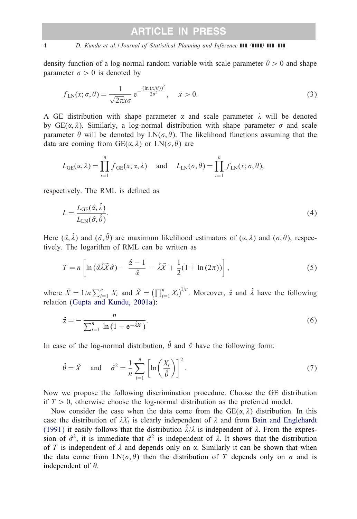density function of a log-normal random variable with scale parameter  $\theta > 0$  and shape parameter  $\sigma > 0$  is denoted by

$$
f_{LN}(x; \sigma, \theta) = \frac{1}{\sqrt{2\pi}x\sigma} e^{-\frac{(\ln(x/\theta))^2}{2\sigma^2}}, \quad x > 0.
$$
 (3)

A GE distribution with shape parameter  $\alpha$  and scale parameter  $\lambda$  will be denoted by  $GE(\alpha, \lambda)$ . Similarly, a log-normal distribution with shape parameter  $\sigma$  and scale parameter  $\theta$  will be denoted by  $LN(\sigma, \theta)$ . The likelihood functions assuming that the data are coming from  $GE(\alpha, \lambda)$  or  $LN(\sigma, \theta)$  are

$$
L_{GE}(\alpha, \lambda) = \prod_{i=1}^{n} f_{GE}(x; \alpha, \lambda) \quad \text{and} \quad L_{LN}(\sigma, \theta) = \prod_{i=1}^{n} f_{LN}(x; \sigma, \theta),
$$

respectively. The RML is defined as

$$
L = \frac{L_{GE}(\hat{\alpha}, \hat{\lambda})}{L_{LN}(\hat{\sigma}, \hat{\theta})}.
$$
\n(4)

Here  $(\hat{\alpha}, \hat{\lambda})$  and  $(\hat{\sigma}, \hat{\theta})$  are maximum likelihood estimators of  $(\alpha, \lambda)$  and  $(\sigma, \theta)$ , respectively. The logarithm of RML can be written as

$$
T = n \left[ \ln \left( \hat{\alpha} \hat{\lambda} \tilde{X} \hat{\sigma} \right) - \frac{\hat{\alpha} - 1}{\hat{\alpha}} - \hat{\lambda} \bar{X} + \frac{1}{2} (1 + \ln (2\pi)) \right], \tag{5}
$$

where  $\bar{X} = 1/n \sum_{i=1}^{n} X_i$  and  $\tilde{X} = \left(\prod_{i=1}^{n} X_i\right)^{1/n}$ . Moreover,  $\hat{\alpha}$  and  $\hat{\lambda}$  have the following relation [\(Gupta and Kundu, 2001a\)](#page-14-0):

$$
\hat{\alpha} = -\frac{n}{\sum_{i=1}^{n} \ln(1 - e^{-\hat{\lambda}X_i})}.
$$
\n(6)

In case of the log-normal distribution,  $\hat{\theta}$  and  $\hat{\sigma}$  have the following form:

$$
\hat{\theta} = \tilde{X}
$$
 and  $\hat{\sigma}^2 = \frac{1}{n} \sum_{i=1}^n \left[ \ln \left( \frac{X_i}{\hat{\theta}} \right) \right]^2$ . (7)

Now we propose the following discrimination procedure. Choose the GE distribution if  $T > 0$ , otherwise choose the log-normal distribution as the preferred model.

Now consider the case when the data come from the  $GE(\alpha, \lambda)$  distribution. In this case the distribution of  $\lambda X_i$  is clearly independent of  $\lambda$  and from [Bain and Englehardt](#page-13-0) [\(1991\)](#page-13-0) it easily follows that the distribution  $\hat{\lambda}/\lambda$  is independent of  $\lambda$ . From the expression of  $\hat{\sigma}^2$ , it is immediate that  $\hat{\sigma}^2$  is independent of  $\lambda$ . It shows that the distribution of T is independent of  $\lambda$  and depends only on  $\alpha$ . Similarly it can be shown that when the data come from  $LN(\sigma, \theta)$  then the distribution of T depends only on  $\sigma$  and is independent of  $\theta$ .

<span id="page-3-0"></span>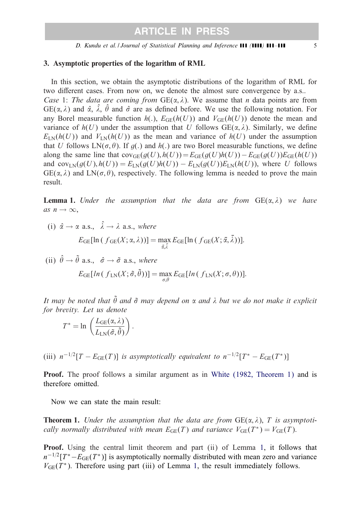### <span id="page-4-0"></span>3. Asymptotic properties of the logarithm of RML

In this section, we obtain the asymptotic distributions of the logarithm of RML for two different cases. From now on, we denote the almost sure convergence by a.s.. *Case* 1: *The data are coming from*  $GE(\alpha, \lambda)$ . We assume that *n* data points are from  $GE(\alpha, \lambda)$  and  $\hat{\alpha}$ ,  $\hat{\lambda}$ ,  $\hat{\theta}$  and  $\hat{\sigma}$  are as defined before. We use the following notation. For any Borel measurable function  $h(.)$ ,  $E_{GE}(h(U))$  and  $V_{GE}(h(U))$  denote the mean and variance of  $h(U)$  under the assumption that U follows  $GE(\alpha, \lambda)$ . Similarly, we define  $E_{LN}(h(U))$  and  $V_{LN}(h(U))$  as the mean and variance of  $h(U)$  under the assumption that U follows  $LN(\sigma, \theta)$ . If  $g(.)$  and  $h(.)$  are two Borel measurable functions, we define along the same line that  $cov_{GE}(g(U), h(U)) = E_{GE}(g(U)h(U)) - E_{GE}(g(U))E_{GE}(h(U))$ and cov<sub>LN</sub>( $g(U)$ ,  $h(U)$ ) =  $E_{LN}(g(U)h(U)) - E_{LN}(g(U))E_{LN}(h(U))$ , where U follows  $GE(\alpha, \lambda)$  and  $LN(\sigma, \theta)$ , respectively. The following lemma is needed to prove the main result.

**Lemma 1.** *Under the assumption that the data are from*  $GE(\alpha, \lambda)$  *we have as*  $n \rightarrow \infty$ ,

(i)  $\hat{\alpha} \rightarrow \alpha$  a.s.,  $\hat{\lambda} \rightarrow \lambda$  a.s., where  $E_{\text{GE}}[\ln (f_{\text{GE}}(X; \alpha, \lambda))] = \max_{\tilde{\alpha}, \tilde{\lambda}} E_{\text{GE}}[\ln (f_{\text{GE}}(X; \tilde{\alpha}, \tilde{\lambda}))].$ 

(ii) 
$$
\hat{\theta} \to \tilde{\theta}
$$
 a.s.,  $\hat{\sigma} \to \tilde{\sigma}$  a.s., where  

$$
E_{GE}[ln(f_{LN}(X; \tilde{\sigma}, \tilde{\theta}))] = \max_{\sigma, \theta} E_{GE}[ln(f_{LN}(X; \sigma, \theta))].
$$

It may be noted that  $\tilde{\theta}$  and  $\tilde{\sigma}$  may depend on  $\alpha$  and  $\lambda$  but we do not make it explicit *for brevity. Let us denote*

$$
T^* = \ln \left( \frac{L_{\text{GE}}(\alpha, \lambda)}{L_{\text{LN}}(\tilde{\sigma}, \tilde{\theta})} \right).
$$

(iii)  $n^{-1/2}[T - E_{\text{GE}}(T)]$  *is asymptotically equivalent to*  $n^{-1/2}[T^* - E_{\text{GE}}(T^*)]$ 

Proof. The proof follows a similar argument as in [White \(1982, Theorem 1\)](#page-14-0) and is therefore omitted.

Now we can state the main result:

**Theorem 1.** Under the assumption that the data are from  $GE(\alpha, \lambda)$ , T is asymptoti*cally normally distributed with mean*  $E_{GE}(T)$  *and variance*  $V_{GE}(T^*) = V_{GE}(T)$ .

Proof. Using the central limit theorem and part (ii) of Lemma 1, it follows that  $n^{-1/2}[T^* - E_{\text{GE}}(T^*)]$  is asymptotically normally distributed with mean zero and variance  $V_{GE}(T^*)$ . Therefore using part (iii) of Lemma 1, the result immediately follows.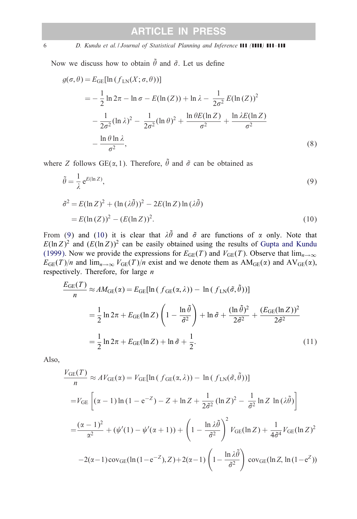6 *D. Kundu et al. | Journal of Statistical Planning and Inference* **111 (1111) 111-111** 

Now we discuss how to obtain  $\tilde{\theta}$  and  $\tilde{\sigma}$ . Let us define

$$
g(\sigma, \theta) = E_{GE}[\ln(f_{LN}(X; \sigma, \theta))]
$$
  
=  $-\frac{1}{2}\ln 2\pi - \ln \sigma - E(\ln(Z)) + \ln \lambda - \frac{1}{2\sigma^2}E(\ln(Z))^2$   
 $-\frac{1}{2\sigma^2}(\ln \lambda)^2 - \frac{1}{2\sigma^2}(\ln \theta)^2 + \frac{\ln \theta E(\ln Z)}{\sigma^2} + \frac{\ln \lambda E(\ln Z)}{\sigma^2}$   
 $-\frac{\ln \theta \ln \lambda}{\sigma^2},$  (8)

where Z follows  $GE(\alpha, 1)$ . Therefore,  $\tilde{\theta}$  and  $\tilde{\sigma}$  can be obtained as

$$
\tilde{\theta} = \frac{1}{\lambda} e^{E(\ln Z)},
$$
\n
$$
\tilde{\sigma}^2 = E(\ln Z)^2 + (\ln (\lambda \tilde{\theta}))^2 - 2E(\ln Z) \ln (\lambda \tilde{\theta})
$$
\n
$$
= E(\ln (Z))^2 - (E(\ln Z))^2.
$$
\n(10)

From (9) and (10) it is clear that  $\lambda \tilde{\theta}$  and  $\tilde{\sigma}$  are functions of  $\alpha$  only. Note that  $E(\ln Z)^2$  and  $(E(\ln Z))^2$  can be easily obtained using the results of [Gupta and Kundu](#page-14-0) [\(1999\).](#page-14-0) Now we provide the expressions for  $E_{GE}(T)$  and  $V_{GE}(T)$ . Observe that  $\lim_{n\to\infty}$  $E_{GE}(T)/n$  and  $\lim_{n\to\infty} V_{GE}(T)/n$  exist and we denote them as  $AM_{GE}(\alpha)$  and  $AV_{GE}(\alpha)$ , respectively. Therefore, for large  $n$ 

$$
\frac{E_{\text{GE}}(T)}{n} \approx AM_{\text{GE}}(\alpha) = E_{\text{GE}}[\ln(f_{\text{GE}}(\alpha, \lambda)) - \ln(f_{\text{LN}}(\tilde{\sigma}, \tilde{\theta}))]
$$
  

$$
= \frac{1}{2}\ln 2\pi + E_{\text{GE}}(\ln Z) \left(1 - \frac{\ln \tilde{\theta}}{\tilde{\sigma}^2}\right) + \ln \tilde{\sigma} + \frac{(\ln \tilde{\theta})^2}{2\tilde{\sigma}^2} + \frac{(E_{\text{GE}}(\ln Z))^2}{2\tilde{\sigma}^2}
$$
  

$$
= \frac{1}{2}\ln 2\pi + E_{\text{GE}}(\ln Z) + \ln \tilde{\sigma} + \frac{1}{2}.
$$
 (11)

Also,

$$
\frac{V_{GE}(T)}{n} \approx AV_{GE}(\alpha) = V_{GE}[\ln (f_{GE}(\alpha, \lambda)) - \ln (f_{LN}(\tilde{\sigma}, \tilde{\theta}))]
$$
  
=  $V_{GE} \left[ (\alpha - 1) \ln (1 - e^{-Z}) - Z + \ln Z + \frac{1}{2\tilde{\sigma}^2} (\ln Z)^2 - \frac{1}{\tilde{\sigma}^2} \ln Z \ln (\lambda \tilde{\theta}) \right]$   
=  $\frac{(\alpha - 1)^2}{\alpha^2} + (\psi'(1) - \psi'(\alpha + 1)) + \left( 1 - \frac{\ln \lambda \tilde{\theta}}{\tilde{\sigma}^2} \right)^2 V_{GE}(\ln Z) + \frac{1}{4\tilde{\sigma}^4} V_{GE}(\ln Z)^2$   
-2(\alpha - 1)cov<sub>GE</sub>(ln(1 - e^{-Z}), Z) + 2(\alpha - 1) \left( 1 - \frac{\ln \lambda \tilde{\theta}}{\tilde{\sigma}^2} \right) cov\_{GE}(\ln Z, \ln(1 - e^Z))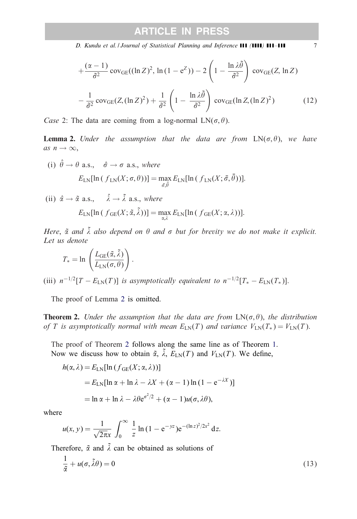<span id="page-6-0"></span>*D. Kundu et al. | Journal of Statistical Planning and Inference* **(11 /** *1111 111* - 111 7

$$
+\frac{(\alpha-1)}{\hat{\sigma}^2}\operatorname{cov}_{GE}((\ln Z)^2, \ln(1-e^Z)) - 2\left(1 - \frac{\ln \lambda \tilde{\theta}}{\hat{\sigma}^2}\right) \operatorname{cov}_{GE}(Z, \ln Z) -\frac{1}{\hat{\sigma}^2}\operatorname{cov}_{GE}(Z, (\ln Z)^2) + \frac{1}{\hat{\sigma}^2}\left(1 - \frac{\ln \lambda \tilde{\theta}}{\hat{\sigma}^2}\right) \operatorname{cov}_{GE}(\ln Z, (\ln Z)^2)
$$
(12)

*Case* 2: The data are coming from a log-normal  $LN(\sigma, \theta)$ .

**Lemma 2.** Under the assumption that the data are from  $LN(\sigma, \theta)$ , we have  $as\; n \to \infty,$ 

(i)  $\hat{\theta} \rightarrow \theta$  a.s.,  $\hat{\sigma} \rightarrow \sigma$  a.s., where  $E_{\text{LN}}[\ln(f_{\text{LN}}(X;\sigma,\theta))] = \max_{\bar{\sigma},\bar{\theta}} E_{\text{LN}}[\ln(f_{\text{LN}}(X;\bar{\sigma},\bar{\theta}))].$ 

(ii) 
$$
\hat{\alpha} \to \tilde{\alpha}
$$
 a.s.,  $\hat{\lambda} \to \tilde{\lambda}$  a.s., where  

$$
E_{LN}[\ln(f_{GE}(X; \tilde{\alpha}, \tilde{\lambda}))] = \max_{\alpha, \lambda} E_{LN}[\ln(f_{GE}(X; \alpha, \lambda))].
$$

Here,  $\tilde{a}$  and  $\tilde{\lambda}$  also depend on  $\theta$  and  $\sigma$  but for brevity we do not make it explicit. *Let us denote*

$$
T_* = \ln\left(\frac{L_{\text{GE}}(\tilde{\alpha}, \tilde{\lambda})}{L_{\text{LN}}(\sigma, \theta)}\right).
$$

(iii)  $n^{-1/2}[T - E_{LN}(T)]$  *is asymptotically equivalent to*  $n^{-1/2}[T_* - E_{LN}(T_*)]$ .

The proof of Lemma 2 is omitted.

**Theorem 2.** *Under the assumption that the data are from*  $LN(\sigma, \theta)$ , *the distribution of* T is asymptotically normal with mean  $E_{LN}(T)$  and variance  $V_{LN}(T_*) = V_{LN}(T)$ .

The proof of Theorem 2 follows along the same line as of Theorem [1.](#page-4-0) Now we discuss how to obtain  $\tilde{\alpha}$ ,  $\tilde{\lambda}$ ,  $E_{LN}(T)$  and  $V_{LN}(T)$ . We define,

$$
h(\alpha, \lambda) = E_{LN}[\ln (f_{GE}(X; \alpha, \lambda))]
$$
  
=  $E_{LN}[\ln \alpha + \ln \lambda - \lambda X + (\alpha - 1) \ln (1 - e^{-\lambda X})]$   
=  $\ln \alpha + \ln \lambda - \lambda \theta e^{\sigma^2/2} + (\alpha - 1)u(\sigma, \lambda \theta),$ 

where

$$
u(x, y) = \frac{1}{\sqrt{2\pi x}} \int_0^{\infty} \frac{1}{z} \ln(1 - e^{-yz}) e^{-(\ln z)^2/2x^2} dz.
$$

Therefore,  $\tilde{\alpha}$  and  $\tilde{\lambda}$  can be obtained as solutions of

$$
\frac{1}{\tilde{\alpha}} + u(\sigma, \tilde{\lambda}\theta) = 0 \tag{13}
$$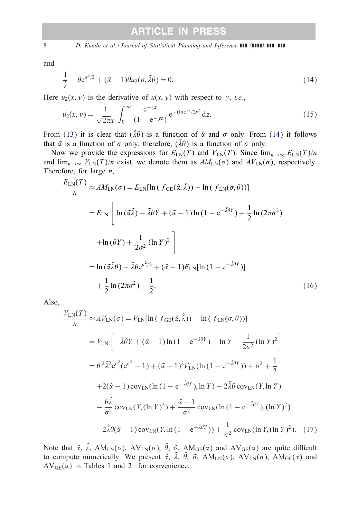8 *D. Kundu et al. | Journal of Statistical Planning and Inference* **111 (1111) 111-111** 

and

$$
\frac{1}{\tilde{\lambda}} - \theta e^{\sigma^2/2} + (\tilde{\alpha} - 1)\theta u_2(\sigma, \tilde{\lambda}\theta) = 0.
$$
\n(14)

Here  $u_2(x, y)$  is the derivative of  $u(x, y)$  with respect to y, *i.e.*,

$$
u_2(x, y) = \frac{1}{\sqrt{2\pi}x} \int_0^\infty \frac{e^{-yz}}{(1 - e^{-yz})} e^{-(\ln z)^2/2x^2} dz.
$$
 (15)

From [\(13\)](#page-6-0) it is clear that  $(\tilde{\lambda}\theta)$  is a function of  $\tilde{\alpha}$  and  $\sigma$  only. From (14) it follows that  $\tilde{\alpha}$  is a function of  $\sigma$  only, therefore,  $(\tilde{\lambda}\theta)$  is a function of  $\sigma$  only.

Now we provide the expressions for  $E_{LN}(T)$  and  $V_{LN}(T)$ . Since  $\lim_{n\to\infty}E_{LN}(T)/n$ and  $\lim_{n\to\infty} V_{LN}(T)/n$  exist, we denote them as  $AM_{LN}(\sigma)$  and  $AV_{LN}(\sigma)$ , respectively. Therefore, for large  $n$ ,

$$
\frac{E_{LN}(T)}{n} \approx AM_{LN}(\sigma) = E_{LN}[\ln (f_{GE}(\tilde{\alpha}, \tilde{\lambda})) - \ln (f_{LN}(\sigma, \theta))]
$$
  
\n
$$
= E_{LN} \left[ \ln (\tilde{\alpha}\tilde{\lambda}) - \tilde{\lambda}\theta Y + (\tilde{\alpha} - 1) \ln (1 - e^{-\tilde{\lambda}\theta Y}) + \frac{1}{2} \ln (2\pi\sigma^2)
$$
  
\n
$$
+ \ln (\theta Y) + \frac{1}{2\sigma^2} (\ln Y)^2 \right]
$$
  
\n
$$
= \ln (\tilde{\alpha}\tilde{\lambda}\theta) - \tilde{\lambda}\theta e^{\sigma^2/2} + (\tilde{\alpha} - 1)E_{LN}[\ln (1 - e^{-\tilde{\lambda}\theta Y})]
$$
  
\n
$$
+ \frac{1}{2} \ln (2\pi\sigma^2) + \frac{1}{2}.
$$
 (16)

Also,

$$
\frac{V_{LN}(T)}{n} \approx AV_{LN}(\sigma) = V_{LN}[\ln (f_{GE}(\tilde{\alpha}, \tilde{\lambda})) - \ln (f_{LN}(\sigma, \theta))]
$$
  
\n
$$
= V_{LN} \left[ -\tilde{\lambda}\theta Y + (\tilde{\alpha} - 1) \ln (1 - e^{-\tilde{\lambda}\theta Y}) + \ln Y + \frac{1}{2\sigma^2} (\ln Y)^2 \right]
$$
  
\n
$$
= \theta^2 \tilde{\lambda}^2 e^{\sigma^2} (e^{\sigma^2} - 1) + (\tilde{\alpha} - 1)^2 V_{LN}(\ln (1 - e^{-\tilde{\lambda}\theta Y})) + \sigma^2 + \frac{1}{2}
$$
  
\n
$$
+ 2(\tilde{\alpha} - 1) \operatorname{cov}_{LN}(\ln (1 - e^{-\tilde{\lambda}\theta Y}), \ln Y) - 2\tilde{\lambda}\theta \operatorname{cov}_{LN}(Y, \ln Y)
$$
  
\n
$$
- \frac{\theta \tilde{\lambda}}{\sigma^2} \operatorname{cov}_{LN}(Y, (\ln Y)^2) + \frac{\tilde{\alpha} - 1}{\sigma^2} \operatorname{cov}_{LN}(\ln (1 - e^{-\tilde{\lambda}\theta Y}), (\ln Y)^2)
$$
  
\n
$$
-2\tilde{\lambda}\theta(\tilde{\alpha} - 1) \operatorname{cov}_{LN}(Y, \ln (1 - e^{-\tilde{\lambda}\theta Y})) + \frac{1}{\sigma^2} \operatorname{cov}_{LN}(\ln Y, (\ln Y)^2). \quad (17)
$$

Note that  $\tilde{\alpha}$ ,  $\tilde{\lambda}$ , AM<sub>LN</sub>( $\sigma$ ), AV<sub>LN</sub>( $\sigma$ ),  $\tilde{\theta}$ ,  $\tilde{\sigma}$ , AM<sub>GE</sub>( $\alpha$ ) and AV<sub>GE</sub>( $\alpha$ ) are quite difficult to compute numerically. We present  $\tilde{\alpha}$ ,  $\tilde{\lambda}$ ,  $\tilde{\theta}$ ,  $\tilde{\sigma}$ , AM<sub>LN</sub>( $\sigma$ ), AV<sub>LN</sub>( $\sigma$ ), AM<sub>GE</sub>( $\alpha$ ) and  $AV_{GE}(\alpha)$  in Tables [1](#page-8-0) and [2](#page-8-0) for convenience.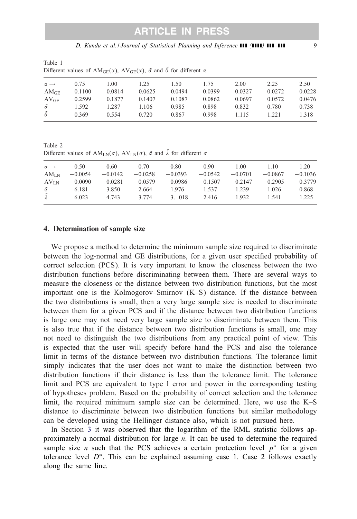*D. Kundu et al. | Journal of Statistical Planning and Inference* **111 (1111) 111-111** 9

<span id="page-8-0"></span>

| Table 1 |  |                                                                                                                  |  |  |  |  |
|---------|--|------------------------------------------------------------------------------------------------------------------|--|--|--|--|
|         |  | Different values of $AM_{GE}(\alpha)$ , $AV_{GE}(\alpha)$ , $\tilde{\sigma}$ and $\theta$ for different $\alpha$ |  |  |  |  |

| $\alpha \rightarrow$ | 0.75   | 1.00   | 1.25   | 1.50   | 1.75   | 2.00   | 2.25   | 2.50   |
|----------------------|--------|--------|--------|--------|--------|--------|--------|--------|
| $AM_{GE}$            | 0.1100 | 0.0814 | 0.0625 | 0.0494 | 0.0399 | 0.0327 | 0.0272 | 0.0228 |
| AV <sub>GE</sub>     | 0.2599 | 0.1877 | 0.1407 | 0.1087 | 0.0862 | 0.0697 | 0.0572 | 0.0476 |
| $\tilde{\sigma}$     | 1.592  | 1.287  | 1.106  | 0.985  | 0.898  | 0.832  | 0.780  | 0.738  |
| $\tilde{\theta}$     | 0.369  | 0.554  | 0.720  | 0.867  | 0.998  | 1.115  | 1.221  | 1.318  |

Table 2 Different values of  $AM_{LN}(\sigma)$ ,  $AV_{LN}(\sigma)$ ,  $\tilde{\alpha}$  and  $\tilde{\lambda}$  for different  $\sigma$ 

| $\sigma \rightarrow$ | 0.50      | 0.60      | 0.70      | 0.80      | 0.90      | 1.00      | 1.10      | 1.20      |
|----------------------|-----------|-----------|-----------|-----------|-----------|-----------|-----------|-----------|
| AM <sub>LN</sub>     | $-0.0054$ | $-0.0142$ | $-0.0258$ | $-0.0393$ | $-0.0542$ | $-0.0701$ | $-0.0867$ | $-0.1036$ |
| $AV_{LN}$            | 0.0090    | 0.0281    | 0.0579    | 0.0986    | 0.1507    | 0.2147    | 0.2905    | 0.3779    |
| $\tilde{\alpha}$     | 6.181     | 3.850     | 2.664     | 1.976     | 1.537     | 1.239     | 1.026     | 0.868     |
| Ã                    | 6.023     | 4.743     | 3.774     | 3.018     | 2.416     | 1.932     | 1.541     | 1.225     |

#### 4. Determination of sample size

We propose a method to determine the minimum sample size required to discriminate between the log-normal and GE distributions, for a given user specified probability of correct selection (PCS). It is very important to know the closeness between the two distribution functions before discriminating between them. There are several ways to measure the closeness or the distance between two distribution functions, but the most important one is the Kolmogorov–Smirnov (K–S) distance. If the distance between the two distributions is small, then a very large sample size is needed to discriminate between them for a given PCS and if the distance between two distribution functions is large one may not need very large sample size to discriminate between them. This is also true that if the distance between two distribution functions is small, one may not need to distinguish the two distributions from any practical point of view. This is expected that the user will specify before hand the PCS and also the tolerance limit in terms of the distance between two distribution functions. The tolerance limit simply indicates that the user does not want to make the distinction between two distribution functions if their distance is less than the tolerance limit. The tolerance limit and PCS are equivalent to type I error and power in the corresponding testing of hypotheses problem. Based on the probability of correct selection and the tolerance limit, the required minimum sample size can be determined. Here, we use the K–S distance to discriminate between two distribution functions but similar methodology can be developed using the Hellinger distance also, which is not pursued here.

In Section [3](#page-4-0) it was observed that the logarithm of the RML statistic follows approximately a normal distribution for large  $n$ . It can be used to determine the required sample size *n* such that the PCS achieves a certain protection level  $p^*$  for a given tolerance level  $D^*$ . This can be explained assuming case 1. Case 2 follows exactly along the same line.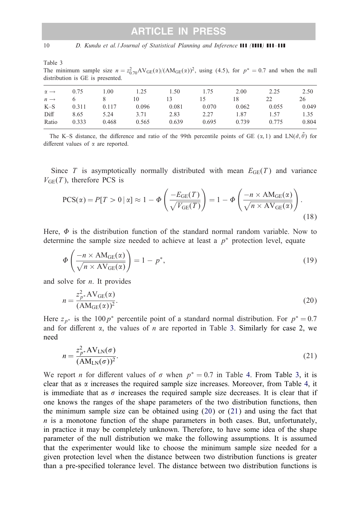<span id="page-9-0"></span>Table 3

The minimum sample size  $n = z_{0.70}^2 AV_{GE}(\alpha)/(AM_{GE}(\alpha))^2$ , using (4.5), for  $p^* = 0.7$  and when the null distribution is GE is presented.

| 0.75  | 1.00  | 1.25  | 1.50  | 1.75  | 2.00  | 2.25  | 2.50  |
|-------|-------|-------|-------|-------|-------|-------|-------|
|       |       | 10    | 13    | 15    | 18    | 22    | 26    |
| 0.311 | 0.117 | 0.096 | 0.081 | 0.070 | 0.062 | 0.055 | 0.049 |
| 8.65  | 5.24  | 3.71  | 2.83  | 2.27  | 1.87  | 1.57  | 1.35  |
| 0.333 | 0.468 | 0.565 | 0.639 | 0.695 | 0.739 | 0.775 | 0.804 |
|       |       |       |       |       |       |       |       |

The K–S distance, the difference and ratio of the 99th percentile points of GE  $(\alpha, 1)$  and LN $(\tilde{\sigma}, \tilde{\theta})$  for different values of  $\alpha$  are reported.

Since T is asymptotically normally distributed with mean  $E_{GE}(T)$  and variance  $V_{GE}(T)$ , therefore PCS is

$$
PCS(\alpha) = P[T > 0 \mid \alpha] \approx 1 - \Phi\left(\frac{-E_{GE}(T)}{\sqrt{V_{GE}(T)}}\right) = 1 - \Phi\left(\frac{-n \times AM_{GE}(\alpha)}{\sqrt{n \times AV_{GE}(\alpha)}}\right).
$$
\n(18)

Here,  $\Phi$  is the distribution function of the standard normal random variable. Now to determine the sample size needed to achieve at least a  $p^*$  protection level, equate

$$
\Phi\left(\frac{-n \times \text{AM}_{\text{GE}}(\alpha)}{\sqrt{n \times \text{AV}_{\text{GE}}(\alpha)}}\right) = 1 - p^*,\tag{19}
$$

and solve for  $n$ . It provides

$$
n = \frac{z_{p^*}^2 \mathbf{A} \mathbf{V}_{GE}(\alpha)}{(\mathbf{A} \mathbf{M}_{GE}(\alpha))^2}.
$$
 (20)

Here  $z_{p*}$  is the 100 $p*$  percentile point of a standard normal distribution. For  $p* = 0.7$ and for different  $\alpha$ , the values of *n* are reported in Table 3. Similarly for case 2, we need

$$
n = \frac{z_{p^*}^2 \mathbf{A} \mathbf{V}_{LN}(\sigma)}{(\mathbf{A} \mathbf{M}_{LN}(\sigma))^2}.
$$
 (21)

We report *n* for different values of  $\sigma$  when  $p^* = 0.7$  in Table [4.](#page-10-0) From Table 3, it is clear that as  $\alpha$  increases the required sample size increases. Moreover, from Table [4,](#page-10-0) it is immediate that as  $\sigma$  increases the required sample size decreases. It is clear that if one knows the ranges of the shape parameters of the two distribution functions, then the minimum sample size can be obtained using (20) or (21) and using the fact that  $n$  is a monotone function of the shape parameters in both cases. But, unfortunately, in practice it may be completely unknown. Therefore, to have some idea of the shape parameter of the null distribution we make the following assumptions. It is assumed that the experimenter would like to choose the minimum sample size needed for a given protection level when the distance between two distribution functions is greater than a pre-specified tolerance level. The distance between two distribution functions is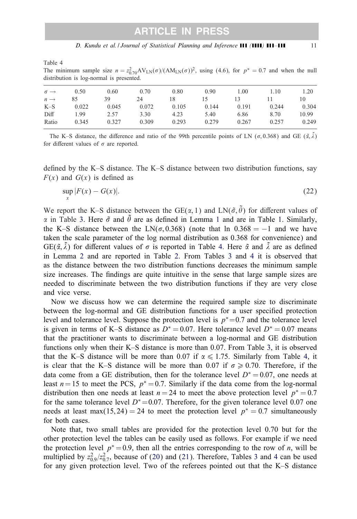<span id="page-10-0"></span>Table 4

The minimum sample size  $n = z_{0.70}^2 AV_{LN}(\sigma)/(AM_{LN}(\sigma))^2$ , using (4.6), for  $p^* = 0.7$  and when the null distribution is log-normal is presented.

| $\sigma \rightarrow$ | 0.50  | 0.60  | 0.70  | 0.80  | 0.90  | 1.00  | 1.10  | 1.20  |
|----------------------|-------|-------|-------|-------|-------|-------|-------|-------|
| $n \rightarrow$      | 85    | 39    | 24    | 18    | 15    | 13    |       | 10    |
| $K-S$                | 0.022 | 0.045 | 0.072 | 0.105 | 0.144 | 0.191 | 0.244 | 0.304 |
| Diff                 | 1.99  | 2.57  | 3.30  | 4.23  | 5.40  | 6.86  | 8.70  | 10.99 |
| Ratio                | 0.345 | 0.327 | 0.309 | 0.293 | 0.279 | 0.267 | 0.257 | 0.249 |

The K–S distance, the difference and ratio of the 99th percentile points of LN ( $\sigma$ , 0.368) and GE ( $\tilde{\alpha}$ ,  $\tilde{\lambda}$ ) for different values of  $\sigma$  are reported.

defined by the K–S distance. The K–S distance between two distribution functions, say  $F(x)$  and  $G(x)$  is defined as

$$
\sup_{x} |F(x) - G(x)|. \tag{22}
$$

We report the K-S distance between the GE( $\alpha$ , 1) and LN( $\tilde{\sigma}$ ,  $\tilde{\theta}$ ) for different values of  $\alpha$  in Table [3.](#page-9-0) Here  $\tilde{\sigma}$  and  $\tilde{\theta}$  are as defined in Lemma [1](#page-4-0) and are in Table [1.](#page-8-0) Similarly, the K–S distance between the LN( $\sigma$ , 0.368) (note that ln 0.368 = −1 and we have taken the scale parameter of the log normal distribution as 0.368 for convenience) and  $GE(\tilde{\alpha}, \tilde{\lambda})$  for different values of  $\sigma$  is reported in Table 4. Here  $\tilde{\alpha}$  and  $\tilde{\lambda}$  are as defined in Lemma [2](#page-6-0) and are reported in Table [2.](#page-8-0) From Tables [3](#page-9-0) and 4 it is observed that as the distance between the two distribution functions decreases the minimum sample size increases. The findings are quite intuitive in the sense that large sample sizes are needed to discriminate between the two distribution functions if they are very close and vice verse.

Now we discuss how we can determine the required sample size to discriminate between the log-normal and GE distribution functions for a user specified protection level and tolerance level. Suppose the protection level is  $p^* = 0.7$  and the tolerance level is given in terms of K–S distance as  $D^* = 0.07$ . Here tolerance level  $D^* = 0.07$  means that the practitioner wants to discriminate between a log-normal and GE distribution functions only when their K–S distance is more than 0.07. From Table [3,](#page-9-0) it is observed that the K–S distance will be more than 0.07 if  $\alpha \leq 1.75$ . Similarly from Table 4, it is clear that the K–S distance will be more than 0.07 if  $\sigma \ge 0.70$ . Therefore, if the data come from a GE distribution, then for the tolerance level  $D^* = 0.07$ , one needs at least  $n=15$  to meet the PCS,  $p^* = 0.7$ . Similarly if the data come from the log-normal distribution then one needs at least  $n = 24$  to meet the above protection level  $p^* = 0.7$ for the same tolerance level  $D^*=0.07$ . Therefore, for the given tolerance level 0.07 one needs at least max(15,24) = 24 to meet the protection level  $p^* = 0.7$  simultaneously for both cases.

Note that, two small tables are provided for the protection level 0.70 but for the other protection level the tables can be easily used as follows. For example if we need the protection level  $p^* = 0.9$ , then all the entries corresponding to the row of *n*, will be multiplied by  $z_{0.9}^2/z_{0.7}^2$ , because of [\(20\)](#page-9-0) and [\(21\)](#page-9-0). Therefore, Tables [3](#page-9-0) and 4 can be used for any given protection level. Two of the referees pointed out that the K–S distance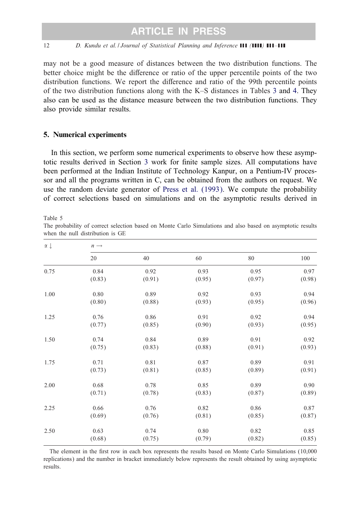<span id="page-11-0"></span>may not be a good measure of distances between the two distribution functions. The better choice might be the difference or ratio of the upper percentile points of the two distribution functions. We report the difference and ratio of the 99th percentile points of the two distribution functions along with the K–S distances in Tables [3](#page-9-0) and [4.](#page-10-0) They also can be used as the distance measure between the two distribution functions. They also provide similar results.

#### 5. Numerical experiments

In this section, we perform some numerical experiments to observe how these asymp-totic results derived in Section [3](#page-4-0) work for finite sample sizes. All computations have been performed at the Indian Institute of Technology Kanpur, on a Pentium-IV processor and all the programs written in C, can be obtained from the authors on request. We use the random deviate generator of [Press et al. \(1993\).](#page-14-0) We compute the probability of correct selections based on simulations and on the asymptotic results derived in

Table 5

The probability of correct selection based on Monte Carlo Simulations and also based on asymptotic results when the null distribution is GE

| $\alpha \downarrow$ | $n \rightarrow$ |        |        |        |        |  |  |  |  |
|---------------------|-----------------|--------|--------|--------|--------|--|--|--|--|
|                     | 20              | 40     | 60     | 80     | 100    |  |  |  |  |
| 0.75                | 0.84            | 0.92   | 0.93   | 0.95   | 0.97   |  |  |  |  |
|                     | (0.83)          | (0.91) | (0.95) | (0.97) | (0.98) |  |  |  |  |
| 1.00                | 0.80            | 0.89   | 0.92   | 0.93   | 0.94   |  |  |  |  |
|                     | (0.80)          | (0.88) | (0.93) | (0.95) | (0.96) |  |  |  |  |
| 1.25                | 0.76            | 0.86   | 0.91   | 0.92   | 0.94   |  |  |  |  |
|                     | (0.77)          | (0.85) | (0.90) | (0.93) | (0.95) |  |  |  |  |
| 1.50                | 0.74            | 0.84   | 0.89   | 0.91   | 0.92   |  |  |  |  |
|                     | (0.75)          | (0.83) | (0.88) | (0.91) | (0.93) |  |  |  |  |
| 1.75                | 0.71            | 0.81   | 0.87   | 0.89   | 0.91   |  |  |  |  |
|                     | (0.73)          | (0.81) | (0.85) | (0.89) | (0.91) |  |  |  |  |
| 2.00                | 0.68            | 0.78   | 0.85   | 0.89   | 0.90   |  |  |  |  |
|                     | (0.71)          | (0.78) | (0.83) | (0.87) | (0.89) |  |  |  |  |
| 2.25                | 0.66            | 0.76   | 0.82   | 0.86   | 0.87   |  |  |  |  |
|                     | (0.69)          | (0.76) | (0.81) | (0.85) | (0.87) |  |  |  |  |
| 2.50                | 0.63            | 0.74   | 0.80   | 0.82   | 0.85   |  |  |  |  |
|                     | (0.68)          | (0.75) | (0.79) | (0.82) | (0.85) |  |  |  |  |

The element in the first row in each box represents the results based on Monte Carlo Simulations (10,000) replications) and the number in bracket immediately below represents the result obtained by using asymptotic results.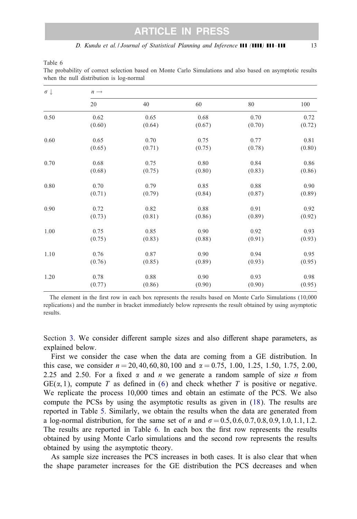Table 6

| $\sigma \downarrow$ | $n \rightarrow$ |        |        |        |        |  |  |  |  |
|---------------------|-----------------|--------|--------|--------|--------|--|--|--|--|
|                     | 20              | 40     | 60     | 80     | 100    |  |  |  |  |
| 0.50                | 0.62            | 0.65   | 0.68   | 0.70   | 0.72   |  |  |  |  |
|                     | (0.60)          | (0.64) | (0.67) | (0.70) | (0.72) |  |  |  |  |
| 0.60                | 0.65            | 0.70   | 0.75   | 0.77   | 0.81   |  |  |  |  |
|                     | (0.65)          | (0.71) | (0.75) | (0.78) | (0.80) |  |  |  |  |
| 0.70                | 0.68            | 0.75   | 0.80   | 0.84   | 0.86   |  |  |  |  |
|                     | (0.68)          | (0.75) | (0.80) | (0.83) | (0.86) |  |  |  |  |
| 0.80                | 0.70            | 0.79   | 0.85   | 0.88   | 0.90   |  |  |  |  |
|                     | (0.71)          | (0.79) | (0.84) | (0.87) | (0.89) |  |  |  |  |
| 0.90                | 0.72            | 0.82   | 0.88   | 0.91   | 0.92   |  |  |  |  |
|                     | (0.73)          | (0.81) | (0.86) | (0.89) | (0.92) |  |  |  |  |
| 1.00                | 0.75            | 0.85   | 0.90   | 0.92   | 0.93   |  |  |  |  |
|                     | (0.75)          | (0.83) | (0.88) | (0.91) | (0.93) |  |  |  |  |
| 1.10                | 0.76            | 0.87   | 0.90   | 0.94   | 0.95   |  |  |  |  |
|                     | (0.76)          | (0.85) | (0.89) | (0.93) | (0.95) |  |  |  |  |
| 1.20                | 0.78            | 0.88   | 0.90   | 0.93   | 0.98   |  |  |  |  |
|                     | (0.77)          | (0.86) | (0.90) | (0.90) | (0.95) |  |  |  |  |

The probability of correct selection based on Monte Carlo Simulations and also based on asymptotic results when the null distribution is log-normal

The element in the first row in each box represents the results based on Monte Carlo Simulations (10,000) replications) and the number in bracket immediately below represents the result obtained by using asymptotic results.

Section [3.](#page-4-0) We consider different sample sizes and also different shape parameters, as explained below.

First we consider the case when the data are coming from a GE distribution. In this case, we consider  $n = 20, 40, 60, 80, 100$  and  $\alpha = 0.75, 1.00, 1.25, 1.50, 1.75, 2.00,$ 2.25 and 2.50. For a fixed  $\alpha$  and n we generate a random sample of size n from  $GE(\alpha, 1)$ , compute T as defined in [\(6\)](#page-3-0) and check whether T is positive or negative. We replicate the process 10,000 times and obtain an estimate of the PCS. We also compute the PCSs by using the asymptotic results as given in [\(18\)](#page-9-0). The results are reported in Table [5.](#page-11-0) Similarly, we obtain the results when the data are generated from a log-normal distribution, for the same set of *n* and  $\sigma = 0.5, 0.6, 0.7, 0.8, 0.9, 1.0, 1.1, 1.2$ . The results are reported in Table 6. In each box the first row represents the results obtained by using Monte Carlo simulations and the second row represents the results obtained by using the asymptotic theory.

As sample size increases the PCS increases in both cases. It is also clear that when the shape parameter increases for the GE distribution the PCS decreases and when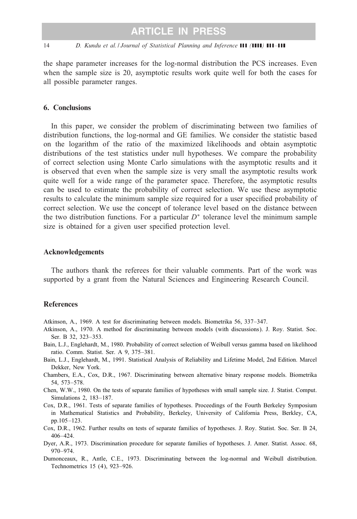<span id="page-13-0"></span>the shape parameter increases for the log-normal distribution the PCS increases. Even when the sample size is 20, asymptotic results work quite well for both the cases for all possible parameter ranges.

#### 6. Conclusions

In this paper, we consider the problem of discriminating between two families of distribution functions, the log-normal and GE families. We consider the statistic based on the logarithm of the ratio of the maximized likelihoods and obtain asymptotic distributions of the test statistics under null hypotheses. We compare the probability of correct selection using Monte Carlo simulations with the asymptotic results and it is observed that even when the sample size is very small the asymptotic results work quite well for a wide range of the parameter space. Therefore, the asymptotic results can be used to estimate the probability of correct selection. We use these asymptotic results to calculate the minimum sample size required for a user specified probability of correct selection. We use the concept of tolerance level based on the distance between the two distribution functions. For a particular  $D^*$  tolerance level the minimum sample size is obtained for a given user specified protection level.

#### Acknowledgements

The authors thank the referees for their valuable comments. Part of the work was supported by a grant from the Natural Sciences and Engineering Research Council.

#### References

- Atkinson, A., 1969. A test for discriminating between models. Biometrika 56, 337–347.
- Atkinson, A., 1970. A method for discriminating between models (with discussions). J. Roy. Statist. Soc. Ser. B 32, 323–353.
- Bain, L.J., Englehardt, M., 1980. Probability of correct selection of Weibull versus gamma based on likelihood ratio. Comm. Statist. Ser. A 9, 375–381.
- Bain, L.J., Englehardt, M., 1991. Statistical Analysis of Reliability and Lifetime Model, 2nd Edition. Marcel Dekker, New York.
- Chambers, E.A., Cox, D.R., 1967. Discriminating between alternative binary response models. Biometrika 54, 573–578.
- Chen, W.W., 1980. On the tests of separate families of hypotheses with small sample size. J. Statist. Comput. Simulations 2, 183–187.
- Cox, D.R., 1961. Tests of separate families of hypotheses. Proceedings of the Fourth Berkeley Symposium in Mathematical Statistics and Probability, Berkeley, University of California Press, Berkley, CA, pp.105 –123.
- Cox, D.R., 1962. Further results on tests of separate families of hypotheses. J. Roy. Statist. Soc. Ser. B 24, 406–424.
- Dyer, A.R., 1973. Discrimination procedure for separate families of hypotheses. J. Amer. Statist. Assoc. 68, 970–974.
- Dumonceaux, R., Antle, C.E., 1973. Discriminating between the log-normal and Weibull distribution. Technometrics 15 (4), 923–926.